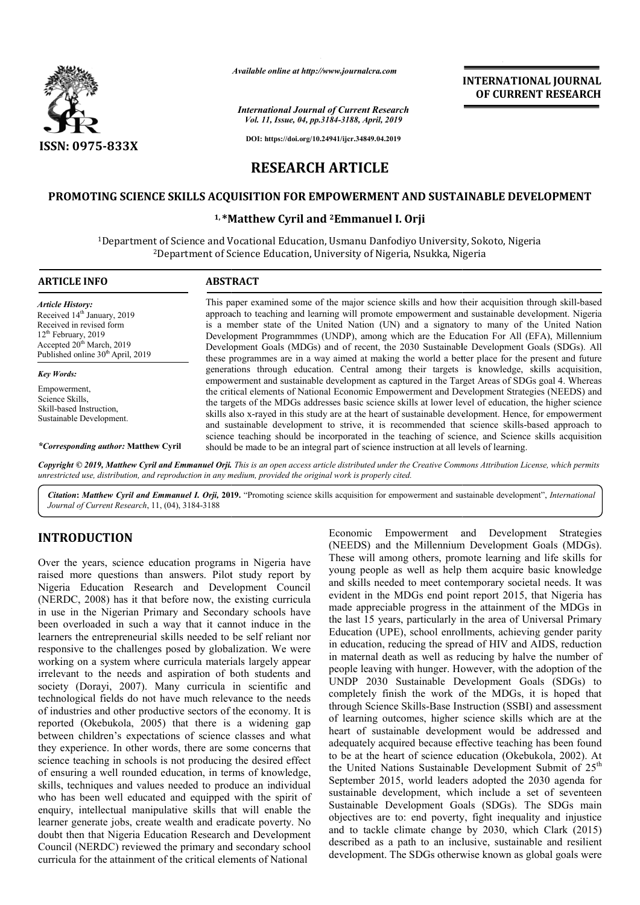

*Available online at http://www.journalcra.com*

*International Journal of Current Research Vol. 11, Issue, 04, pp.3184-3188, April, 2019*

**DOI: https://doi.org/10.24941/ijcr.34849.04.2019**

**INTERNATIONAL JOURNAL OF CURRENT RESEARCH**

# **RESEARCH ARTICLE**

# **PROMOTING SCIENCE SKILLS ACQUISITION FOR EMPOWERMENT AND SUSTAINABLE DEVELOPMENT SCIENCE SKILLS ACQUISITION**

# **1, \*Matthew Cyril Matthew and 2Emmanuel I. Orji**

 $^1$ Department of Science and Vocational Education, Usmanu Danfodiyo University, Sokoto, Nigeria t of Science and Vocational Education, Usmanu Danfodiyo University, Sol<br><sup>2</sup>Department of Science Education, University of Nigeria, Nsukka, Nigeria

| <b>ARTICLE INFO</b>                                                                                                                                                                                               | <b>ABSTRACT</b>                                                                                                                                                                                                                                                                                                                                                                                                                                                                                                                                                                                                                                                                                                                                                                                                                                                                                                                                                                                                                                                                                                                                                                                                                                                                                                                |
|-------------------------------------------------------------------------------------------------------------------------------------------------------------------------------------------------------------------|--------------------------------------------------------------------------------------------------------------------------------------------------------------------------------------------------------------------------------------------------------------------------------------------------------------------------------------------------------------------------------------------------------------------------------------------------------------------------------------------------------------------------------------------------------------------------------------------------------------------------------------------------------------------------------------------------------------------------------------------------------------------------------------------------------------------------------------------------------------------------------------------------------------------------------------------------------------------------------------------------------------------------------------------------------------------------------------------------------------------------------------------------------------------------------------------------------------------------------------------------------------------------------------------------------------------------------|
| <b>Article History:</b><br>Received 14 <sup>th</sup> January, 2019<br>Received in revised form<br>$12th$ February, 2019<br>Accepted 20 <sup>th</sup> March, 2019<br>Published online 30 <sup>th</sup> April, 2019 | This paper examined some of the major science skills and how their acquisition through skill-based<br>approach to teaching and learning will promote empowerment and sustainable development. Nigeria<br>is a member state of the United Nation (UN) and a signatory to many of the United Nation<br>Development Programmmes (UNDP), among which are the Education For All (EFA), Millennium<br>Development Goals (MDGs) and of recent, the 2030 Sustainable Development Goals (SDGs). All<br>these programmes are in a way aimed at making the world a better place for the present and future<br>generations through education. Central among their targets is knowledge, skills acquisition,<br>empowerment and sustainable development as captured in the Target Areas of SDGs goal 4. Whereas<br>the critical elements of National Economic Empowerment and Development Strategies (NEEDS) and<br>the targets of the MDGs addresses basic science skills at lower level of education, the higher science<br>skills also x-rayed in this study are at the heart of sustainable development. Hence, for empowerment<br>and sustainable development to strive, it is recommended that science skills-based approach to<br>science teaching should be incorporated in the teaching of science, and Science skills acquisition |
| <b>Key Words:</b><br>Empowerment.<br>Science Skills,<br>Skill-based Instruction.<br>Sustainable Development.                                                                                                      |                                                                                                                                                                                                                                                                                                                                                                                                                                                                                                                                                                                                                                                                                                                                                                                                                                                                                                                                                                                                                                                                                                                                                                                                                                                                                                                                |
| <i>*Corresponding author:</i> Matthew Cyril                                                                                                                                                                       | should be made to be an integral part of science instruction at all levels of learning.                                                                                                                                                                                                                                                                                                                                                                                                                                                                                                                                                                                                                                                                                                                                                                                                                                                                                                                                                                                                                                                                                                                                                                                                                                        |

**Copyright © 2019, Matthew Cyril and Emmanuel Orji.** This is an open access article distributed under the Creative Commons Attribution License, which permits *unrestricted use, distribution, and reproduction in any medium, provided the original work is properly cited.*

Citation: Matthew Cyril and Emmanuel I. Orji, 2019. "Promoting science skills acquisition for empowerment and sustainable development", *International Journal of Current Research*, 11, (04), 3184-3188

# **INTRODUCTION**

Over the years, science education programs in Nigeria have raised more questions than answers. Pilot study report by Nigeria Education Research and Development Council (NERDC, 2008) has it that before now, the existing curricula in use in the Nigerian Primary and Secondary schools have been overloaded in such a way that it cannot induce in the learners the entrepreneurial skills needed to be self reliant nor responsive to the challenges posed by globalization. We were working on a system where curricula materials largely appear irrelevant to the needs and aspiration of both students and society (Dorayi, 2007). Many curricula in scientific and technological fields do not have much relevance to the needs of industries and other productive sectors of the economy. It is reported (Okebukola, 2005) that there is a widening gap between children's expectations of science classes and what they experience. In other words, there are some co science teaching in schools is not producing the desired effect of ensuring a well rounded education, in terms of knowledge, skills, techniques and values needed to produce an individual who has been well educated and equipped with the spirit of enquiry, intellectual manipulative skills that will enable the learner generate jobs, create wealth and eradicate poverty. No doubt then that Nigeria Education Research and Development Council (NERDC) reviewed the primary and secondary school curricula for the attainment of the critical elements of National hallenges posed by globalization. We were<br>m where curricula materials largely appear<br>needs and aspiration of both students and<br>2007). Many curricula in scientific and<br>s do not have much relevance to the needs<br>her productiv

**OUCTION**<br>
CROSITY FOROM CONTINETY (CONDIGET)<br>
CROSITY (CRESS) and the Millennium Development Coals (MDGs).<br>
Years, science education spaces with a space will among others, promote learning and life skills for<br>
equation R (NEEDS) and the Millennium Development Goals (MDGs). These will among others, promote learning and life skills for young people as well as help them acquire basic knowledge and skills needed to meet contemporary societal needs. It was evident in the MDGs end point report 2015, that Nigeria has made appreciable progress in the attainment of the MDGs in and skills needed to meet contemporary societal needs. It was evident in the MDGs end point report 2015, that Nigeria has made appreciable progress in the attainment of the MDGs in the last 15 years, particularly in the ar Education (UPE), school enrollments, achieving gender parity in education, reducing the spread of HIV and AIDS, reduction in maternal death as well as reducing by halve the number of people leaving with hunger. However, with the adoption of the UNDP 2030 Sustainable Development Goals (SDGs) to completely finish the work of the MDGs, it is hoped that through Science Skills-Base Instruction (SSBI) and assessment of learning outcomes, higher science skills which are at the heart of sustainable development would be addressed and adequately acquired because effective teaching has been found to be at the heart of science education (Okebukola, 2002). the United Nations Sustainable Development Submit of 25<sup>th</sup> September 2015, world leaders adopted the 2030 agenda for sustainable development, which include a set of seventeen Sustainable Development Goals (SDGs). The SDGs main objectives are to: end poverty, fight inequality and injustice and to tackle climate change by 2030, which Clark (2015) described as a path to an inclusive, sustainable and resilient development. The SDGs otherwise known as global goals were (NEEDS) and the Millennium Development Goals (MDGs).<br>These will among others, promote learning and life skills for<br>young people as well as help them acquire basic knowledge (UPE), school enrollments, achieving gender parity<br>n, reducing the spread of HIV and AIDS, reduction<br>1 death as well as reducing by halve the number of<br>ving with hunger. However, with the adoption of the<br>30 Sustainable Dev entration in the second that the second of the second of the second of the second of the second and stain Apple Toward (SUSTAINABLE DEVELOPMENT<br>
26 CHREENT RESEARCH COMPARY AND SUSTAINABLE DEVELOPMENT<br>
26 CHREENT RESEARCH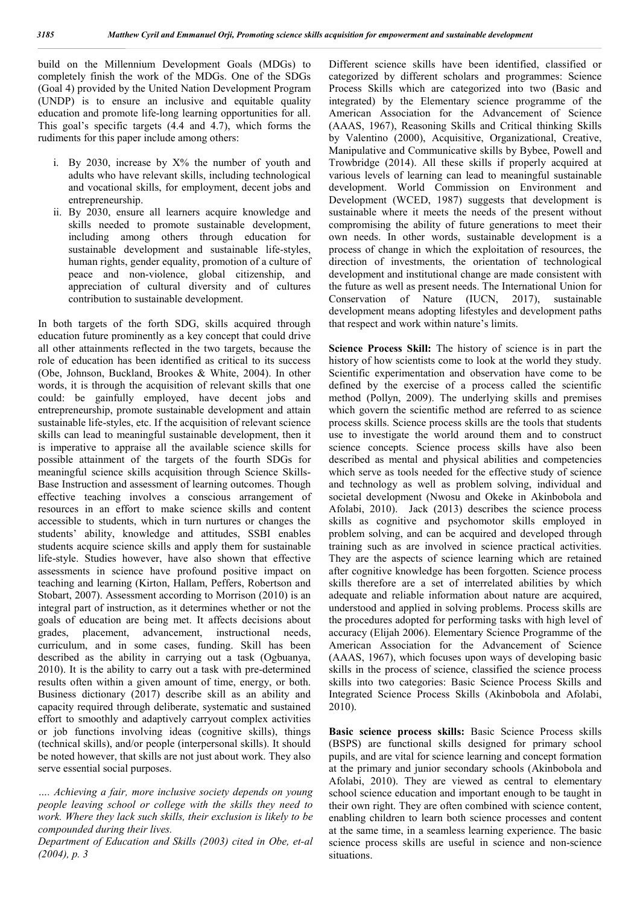build on the Millennium Development Goals (MDGs) to completely finish the work of the MDGs. One of the SDGs (Goal 4) provided by the United Nation Development Program (UNDP) is to ensure an inclusive and equitable quality education and promote life-long learning opportunities for all. This goal's specific targets (4.4 and 4.7), which forms the rudiments for this paper include among others:

- i. By 2030, increase by  $X\%$  the number of youth and adults who have relevant skills, including technological and vocational skills, for employment, decent jobs and entrepreneurship.
- ii. By 2030, ensure all learners acquire knowledge and skills needed to promote sustainable development, including among others through education for sustainable development and sustainable life-styles, human rights, gender equality, promotion of a culture of peace and non-violence, global citizenship, and appreciation of cultural diversity and of cultures contribution to sustainable development.

In both targets of the forth SDG, skills acquired through education future prominently as a key concept that could drive all other attainments reflected in the two targets, because the role of education has been identified as critical to its success (Obe, Johnson, Buckland, Brookes & White, 2004). In other words, it is through the acquisition of relevant skills that one could: be gainfully employed, have decent jobs and entrepreneurship, promote sustainable development and attain sustainable life-styles, etc. If the acquisition of relevant science skills can lead to meaningful sustainable development, then it is imperative to appraise all the available science skills for possible attainment of the targets of the fourth SDGs for meaningful science skills acquisition through Science Skills-Base Instruction and assessment of learning outcomes. Though effective teaching involves a conscious arrangement of resources in an effort to make science skills and content accessible to students, which in turn nurtures or changes the students' ability, knowledge and attitudes, SSBI enables students acquire science skills and apply them for sustainable life-style. Studies however, have also shown that effective assessments in science have profound positive impact on teaching and learning (Kirton, Hallam, Peffers, Robertson and Stobart, 2007). Assessment according to Morrison (2010) is an integral part of instruction, as it determines whether or not the goals of education are being met. It affects decisions about grades, placement, advancement, instructional needs, curriculum, and in some cases, funding. Skill has been described as the ability in carrying out a task (Ogbuanya, 2010). It is the ability to carry out a task with pre-determined results often within a given amount of time, energy, or both. Business dictionary (2017) describe skill as an ability and capacity required through deliberate, systematic and sustained effort to smoothly and adaptively carryout complex activities or job functions involving ideas (cognitive skills), things (technical skills), and/or people (interpersonal skills). It should be noted however, that skills are not just about work. They also serve essential social purposes.

*…. Achieving a fair, more inclusive society depends on young people leaving school or college with the skills they need to work. Where they lack such skills, their exclusion is likely to be compounded during their lives.*

*Department of Education and Skills (2003) cited in Obe, et-al (2004), p. 3* 

Different science skills have been identified, classified or categorized by different scholars and programmes: Science Process Skills which are categorized into two (Basic and integrated) by the Elementary science programme of the American Association for the Advancement of Science (AAAS, 1967), Reasoning Skills and Critical thinking Skills by Valentino (2000), Acquisitive, Organizational, Creative, Manipulative and Communicative skills by Bybee, Powell and Trowbridge (2014). All these skills if properly acquired at various levels of learning can lead to meaningful sustainable development. World Commission on Environment and Development (WCED, 1987) suggests that development is sustainable where it meets the needs of the present without compromising the ability of future generations to meet their own needs. In other words, sustainable development is a process of change in which the exploitation of resources, the direction of investments, the orientation of technological development and institutional change are made consistent with the future as well as present needs. The International Union for Conservation of Nature (IUCN, 2017), sustainable development means adopting lifestyles and development paths that respect and work within nature's limits.

**Science Process Skill:** The history of science is in part the history of how scientists come to look at the world they study. Scientific experimentation and observation have come to be defined by the exercise of a process called the scientific method (Pollyn, 2009). The underlying skills and premises which govern the scientific method are referred to as science process skills. Science process skills are the tools that students use to investigate the world around them and to construct science concepts. Science process skills have also been described as mental and physical abilities and competencies which serve as tools needed for the effective study of science and technology as well as problem solving, individual and societal development (Nwosu and Okeke in Akinbobola and Afolabi, 2010). Jack (2013) describes the science process skills as cognitive and psychomotor skills employed in problem solving, and can be acquired and developed through training such as are involved in science practical activities. They are the aspects of science learning which are retained after cognitive knowledge has been forgotten. Science process skills therefore are a set of interrelated abilities by which adequate and reliable information about nature are acquired, understood and applied in solving problems. Process skills are the procedures adopted for performing tasks with high level of accuracy (Elijah 2006). Elementary Science Programme of the American Association for the Advancement of Science (AAAS, 1967), which focuses upon ways of developing basic skills in the process of science, classified the science process skills into two categories: Basic Science Process Skills and Integrated Science Process Skills (Akinbobola and Afolabi, 2010).

**Basic science process skills:** Basic Science Process skills (BSPS) are functional skills designed for primary school pupils, and are vital for science learning and concept formation at the primary and junior secondary schools (Akinbobola and Afolabi, 2010). They are viewed as central to elementary school science education and important enough to be taught in their own right. They are often combined with science content, enabling children to learn both science processes and content at the same time, in a seamless learning experience. The basic science process skills are useful in science and non-science situations.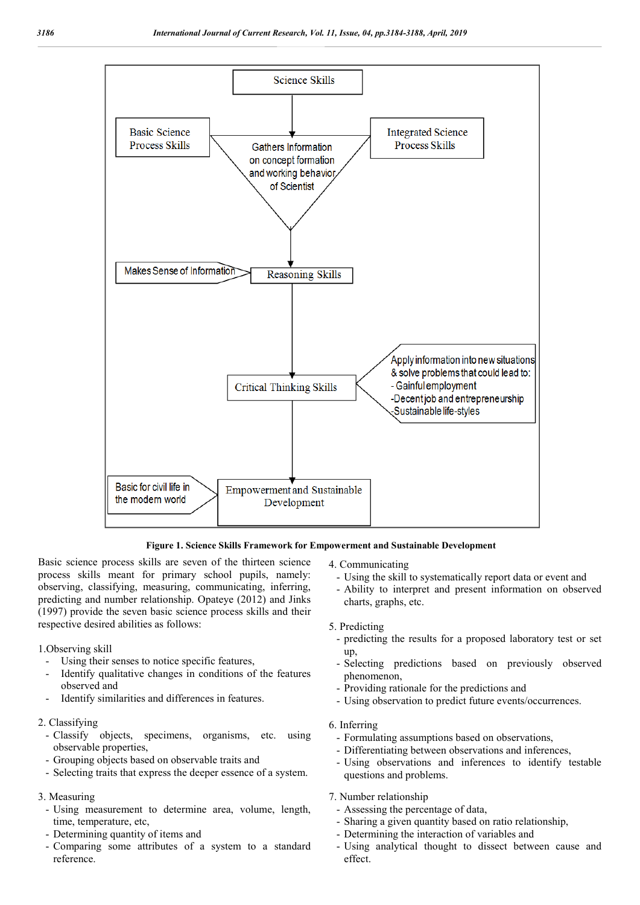

**Figure 1. Science Skills Framework for Empowerment and Sustainable Development** 

Basic science process skills are seven of the thirteen science process skills meant for primary school pupils, namely: observing, classifying, measuring, communicating, inferring, predicting and number relationship. Opateye (2012) and Jinks (1997) provide the seven basic science process skills and their respective desired abilities as follows:

#### 1.Observing skill

- Using their senses to notice specific features,
- Identify qualitative changes in conditions of the features observed and
- Identify similarities and differences in features.

#### 2. Classifying

- Classify objects, specimens, organisms, etc. using observable properties,
- Grouping objects based on observable traits and
- Selecting traits that express the deeper essence of a system.

### 3. Measuring

- Using measurement to determine area, volume, length, time, temperature, etc,
- Determining quantity of items and
- Comparing some attributes of a system to a standard reference.

4. Communicating

- Using the skill to systematically report data or event and
- Ability to interpret and present information on observed charts, graphs, etc.
- 5. Predicting
- predicting the results for a proposed laboratory test or set up,
- Selecting predictions based on previously observed phenomenon,
- Providing rationale for the predictions and
- Using observation to predict future events/occurrences.

### 6. Inferring

- Formulating assumptions based on observations,
- Differentiating between observations and inferences,
- Using observations and inferences to identify testable questions and problems.

#### 7. Number relationship

- Assessing the percentage of data,
- Sharing a given quantity based on ratio relationship,
- Determining the interaction of variables and
- Using analytical thought to dissect between cause and effect.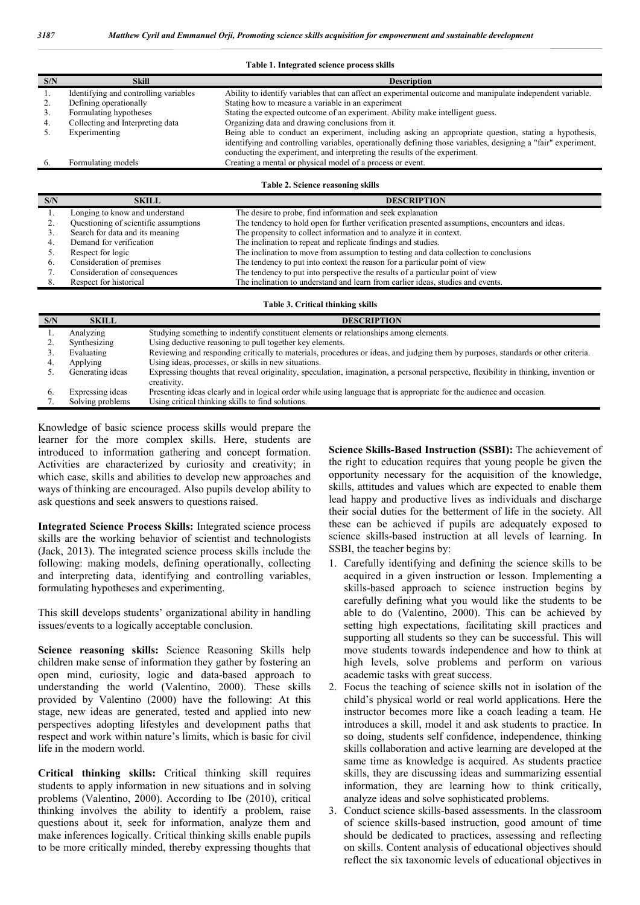#### Table 1. Integrated science process skills

| S/N | Skill                                 | <b>Description</b>                                                                                                                                                                          |
|-----|---------------------------------------|---------------------------------------------------------------------------------------------------------------------------------------------------------------------------------------------|
|     | Identifying and controlling variables | Ability to identify variables that can affect an experimental outcome and manipulate independent variable.                                                                                  |
|     | Defining operationally                | Stating how to measure a variable in an experiment                                                                                                                                          |
|     | Formulating hypotheses                | Stating the expected outcome of an experiment. Ability make intelligent guess.                                                                                                              |
|     | Collecting and Interpreting data      | Organizing data and drawing conclusions from it.                                                                                                                                            |
|     | Experimenting                         | Being able to conduct an experiment, including asking an appropriate question, stating a hypothesis,                                                                                        |
|     |                                       | identifying and controlling variables, operationally defining those variables, designing a "fair" experiment,<br>conducting the experiment, and interpreting the results of the experiment. |
|     | Formulating models                    | Creating a mental or physical model of a process or event.                                                                                                                                  |
|     |                                       |                                                                                                                                                                                             |

**Table 2. Science reasoning skills**

| S/N | <b>SKILL</b>                          | <b>DESCRIPTION</b>                                                                              |
|-----|---------------------------------------|-------------------------------------------------------------------------------------------------|
|     | Longing to know and understand        | The desire to probe, find information and seek explanation                                      |
|     | Questioning of scientific assumptions | The tendency to hold open for further verification presented assumptions, encounters and ideas. |
|     | Search for data and its meaning       | The propensity to collect information and to analyze it in context.                             |
|     | Demand for verification               | The inclination to repeat and replicate findings and studies.                                   |
|     | Respect for logic                     | The inclination to move from assumption to testing and data collection to conclusions           |
|     | Consideration of premises             | The tendency to put into context the reason for a particular point of view                      |
|     | Consideration of consequences         | The tendency to put into perspective the results of a particular point of view                  |
|     | Respect for historical                | The inclination to understand and learn from earlier ideas, studies and events.                 |
|     |                                       |                                                                                                 |

| Table 3. Critical thinking skills |                  |                                                                                                                                                     |  |  |
|-----------------------------------|------------------|-----------------------------------------------------------------------------------------------------------------------------------------------------|--|--|
| S/N                               | <b>SKILL</b>     | <b>DESCRIPTION</b>                                                                                                                                  |  |  |
|                                   | Analyzing        | Studying something to indentify constituent elements or relationships among elements.                                                               |  |  |
|                                   | Synthesizing     | Using deductive reasoning to pull together key elements.                                                                                            |  |  |
|                                   | Evaluating       | Reviewing and responding critically to materials, procedures or ideas, and judging them by purposes, standards or other criteria.                   |  |  |
| 4.                                | Applying         | Using ideas, processes, or skills in new situations.                                                                                                |  |  |
|                                   | Generating ideas | Expressing thoughts that reveal originality, speculation, imagination, a personal perspective, flexibility in thinking, invention or<br>creativity. |  |  |
| $\mathbf{b}$ .                    | Expressing ideas | Presenting ideas clearly and in logical order while using language that is appropriate for the audience and occasion.                               |  |  |
|                                   | Solving problems | Using critical thinking skills to find solutions.                                                                                                   |  |  |

Knowledge of basic science process skills would prepare the learner for the more complex skills. Here, students are introduced to information gathering and concept formation. Activities are characterized by curiosity and creativity; in which case, skills and abilities to develop new approaches and ways of thinking are encouraged. Also pupils develop ability to ask questions and seek answers to questions raised.

**Integrated Science Process Skills:** Integrated science process skills are the working behavior of scientist and technologists (Jack, 2013). The integrated science process skills include the following: making models, defining operationally, collecting and interpreting data, identifying and controlling variables, formulating hypotheses and experimenting.

This skill develops students' organizational ability in handling issues/events to a logically acceptable conclusion.

**Science reasoning skills:** Science Reasoning Skills help children make sense of information they gather by fostering an open mind, curiosity, logic and data-based approach to understanding the world (Valentino, 2000). These skills provided by Valentino (2000) have the following: At this stage, new ideas are generated, tested and applied into new perspectives adopting lifestyles and development paths that respect and work within nature's limits, which is basic for civil life in the modern world.

**Critical thinking skills:** Critical thinking skill requires students to apply information in new situations and in solving problems (Valentino, 2000). According to Ibe (2010), critical thinking involves the ability to identify a problem, raise questions about it, seek for information, analyze them and make inferences logically. Critical thinking skills enable pupils to be more critically minded, thereby expressing thoughts that **Science Skills-Based Instruction (SSBI):** The achievement of the right to education requires that young people be given the opportunity necessary for the acquisition of the knowledge, skills, attitudes and values which are expected to enable them lead happy and productive lives as individuals and discharge their social duties for the betterment of life in the society. All these can be achieved if pupils are adequately exposed to science skills-based instruction at all levels of learning. In SSBI, the teacher begins by:

- 1. Carefully identifying and defining the science skills to be acquired in a given instruction or lesson. Implementing a skills-based approach to science instruction begins by carefully defining what you would like the students to be able to do (Valentino, 2000). This can be achieved by setting high expectations, facilitating skill practices and supporting all students so they can be successful. This will move students towards independence and how to think at high levels, solve problems and perform on various academic tasks with great success.
- 2. Focus the teaching of science skills not in isolation of the child's physical world or real world applications. Here the instructor becomes more like a coach leading a team. He introduces a skill, model it and ask students to practice. In so doing, students self confidence, independence, thinking skills collaboration and active learning are developed at the same time as knowledge is acquired. As students practice skills, they are discussing ideas and summarizing essential information, they are learning how to think critically, analyze ideas and solve sophisticated problems.
- 3. Conduct science skills-based assessments. In the classroom of science skills-based instruction, good amount of time should be dedicated to practices, assessing and reflecting on skills. Content analysis of educational objectives should reflect the six taxonomic levels of educational objectives in